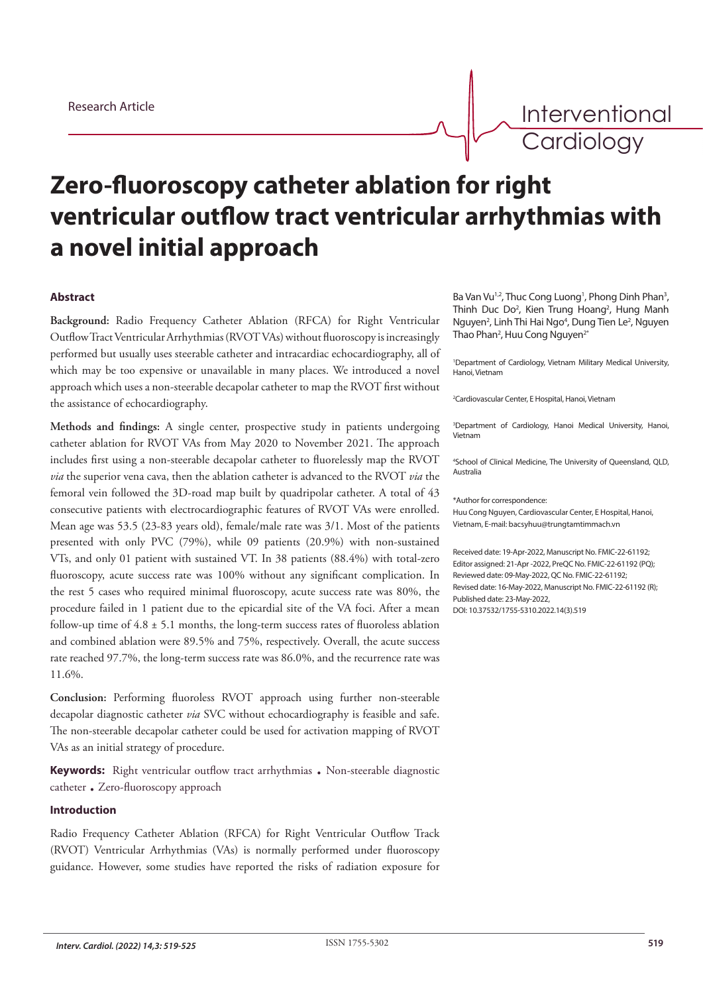Interventional **Cardiology** 

# **Zero-fluoroscopy catheter ablation for right ventricular outflow tract ventricular arrhythmias with a novel initial approach**

# **Abstract**

**Background:** Radio Frequency Catheter Ablation (RFCA) for Right Ventricular Outflow Tract Ventricular Arrhythmias (RVOT VAs) without fluoroscopy is increasingly performed but usually uses steerable catheter and intracardiac echocardiography, all of which may be too expensive or unavailable in many places. We introduced a novel approach which uses a non-steerable decapolar catheter to map the RVOT first without the assistance of echocardiography.

**Methods and findings:** A single center, prospective study in patients undergoing catheter ablation for RVOT VAs from May 2020 to November 2021. The approach includes first using a non-steerable decapolar catheter to fluorelessly map the RVOT *via* the superior vena cava, then the ablation catheter is advanced to the RVOT *via* the femoral vein followed the 3D-road map built by quadripolar catheter. A total of 43 consecutive patients with electrocardiographic features of RVOT VAs were enrolled. Mean age was 53.5 (23-83 years old), female/male rate was 3/1. Most of the patients presented with only PVC (79%), while 09 patients (20.9%) with non-sustained VTs, and only 01 patient with sustained VT. In 38 patients (88.4%) with total-zero fluoroscopy, acute success rate was 100% without any significant complication. In the rest 5 cases who required minimal fluoroscopy, acute success rate was 80%, the procedure failed in 1 patient due to the epicardial site of the VA foci. After a mean follow-up time of 4.8 ± 5.1 months, the long-term success rates of fluoroless ablation and combined ablation were 89.5% and 75%, respectively. Overall, the acute success rate reached 97.7%, the long-term success rate was 86.0%, and the recurrence rate was 11.6%.

**Conclusion:** Performing fluoroless RVOT approach using further non-steerable decapolar diagnostic catheter *via* SVC without echocardiography is feasible and safe. The non-steerable decapolar catheter could be used for activation mapping of RVOT VAs as an initial strategy of procedure.

**Keywords:** Right ventricular outflow tract arrhythmias . Non-steerable diagnostic catheter . Zero-fluoroscopy approach

#### **Introduction**

Radio Frequency Catheter Ablation (RFCA) for Right Ventricular Outflow Track (RVOT) Ventricular Arrhythmias (VAs) is normally performed under fluoroscopy guidance. However, some studies have reported the risks of radiation exposure for Ba Van Vu<sup>1,2</sup>, Thuc Cong Luong<sup>1</sup>, Phong Dinh Phan<sup>3</sup>, Thinh Duc Do<sup>2</sup>, Kien Trung Hoang<sup>2</sup>, Hung Manh Nguyen<sup>2</sup>, Linh Thi Hai Ngo<sup>4</sup>, Dung Tien Le<sup>2</sup>, Nguyen Thao Phan<sup>2</sup>, Huu Cong Nguyen<sup>2\*</sup>

1 Department of Cardiology, Vietnam Military Medical University, Hanoi, Vietnam

2 Cardiovascular Center, E Hospital, Hanoi, Vietnam

3 Department of Cardiology, Hanoi Medical University, Hanoi, Vietnam

4 School of Clinical Medicine, The University of Queensland, QLD, Australia

\*Author for correspondence:

Huu Cong Nguyen, Cardiovascular Center, E Hospital, Hanoi, Vietnam, E-mail: bacsyhuu@trungtamtimmach.vn

Received date: 19-Apr-2022, Manuscript No. FMIC-22-61192; Editor assigned: 21-Apr -2022, PreQC No. FMIC-22-61192 (PQ); Reviewed date: 09-May-2022, QC No. FMIC-22-61192; Revised date: 16-May-2022, Manuscript No. FMIC-22-61192 (R); Published date: 23-May-2022, DOI: 10.37532/1755-5310.2022.14(3).519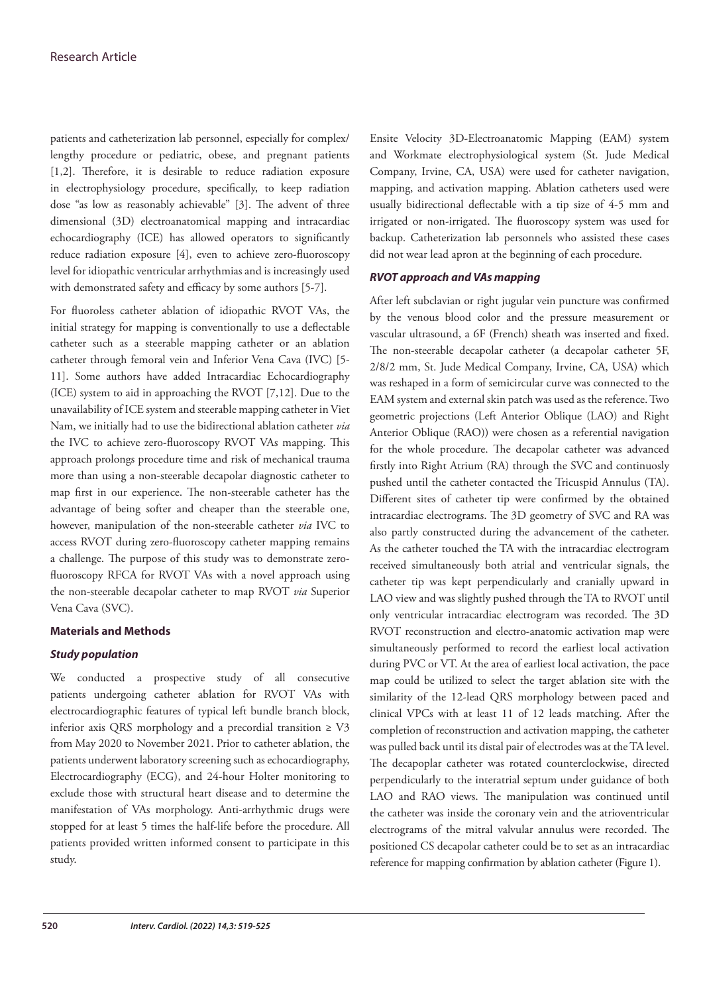patients and catheterization lab personnel, especially for complex/ lengthy procedure or pediatric, obese, and pregnant patients [1,2]. Therefore, it is desirable to reduce radiation exposure in electrophysiology procedure, specifically, to keep radiation dose "as low as reasonably achievable" [3]. The advent of three dimensional (3D) electroanatomical mapping and intracardiac echocardiography (ICE) has allowed operators to significantly reduce radiation exposure [4], even to achieve zero-fluoroscopy level for idiopathic ventricular arrhythmias and is increasingly used with demonstrated safety and efficacy by some authors [5-7].

For fluoroless catheter ablation of idiopathic RVOT VAs, the initial strategy for mapping is conventionally to use a deflectable catheter such as a steerable mapping catheter or an ablation catheter through femoral vein and Inferior Vena Cava (IVC) [5- 11]. Some authors have added Intracardiac Echocardiography (ICE) system to aid in approaching the RVOT [7,12]. Due to the unavailability of ICE system and steerable mapping catheter in Viet Nam, we initially had to use the bidirectional ablation catheter *via* the IVC to achieve zero-fluoroscopy RVOT VAs mapping. This approach prolongs procedure time and risk of mechanical trauma more than using a non-steerable decapolar diagnostic catheter to map first in our experience. The non-steerable catheter has the advantage of being softer and cheaper than the steerable one, however, manipulation of the non-steerable catheter *via* IVC to access RVOT during zero-fluoroscopy catheter mapping remains a challenge. The purpose of this study was to demonstrate zerofluoroscopy RFCA for RVOT VAs with a novel approach using the non-steerable decapolar catheter to map RVOT *via* Superior Vena Cava (SVC).

# **Materials and Methods**

# *Study population*

We conducted a prospective study of all consecutive patients undergoing catheter ablation for RVOT VAs with electrocardiographic features of typical left bundle branch block, inferior axis QRS morphology and a precordial transition  $\geq$  V3 from May 2020 to November 2021. Prior to catheter ablation, the patients underwent laboratory screening such as echocardiography, Electrocardiography (ECG), and 24-hour Holter monitoring to exclude those with structural heart disease and to determine the manifestation of VAs morphology. Anti-arrhythmic drugs were stopped for at least 5 times the half-life before the procedure. All patients provided written informed consent to participate in this study.

Ensite Velocity 3D-Electroanatomic Mapping (EAM) system and Workmate electrophysiological system (St. Jude Medical Company, Irvine, CA, USA) were used for catheter navigation, mapping, and activation mapping. Ablation catheters used were usually bidirectional deflectable with a tip size of 4-5 mm and irrigated or non-irrigated. The fluoroscopy system was used for backup. Catheterization lab personnels who assisted these cases did not wear lead apron at the beginning of each procedure.

# *RVOT approach and VAs mapping*

After left subclavian or right jugular vein puncture was confirmed by the venous blood color and the pressure measurement or vascular ultrasound, a 6F (French) sheath was inserted and fixed. The non-steerable decapolar catheter (a decapolar catheter 5F, 2/8/2 mm, St. Jude Medical Company, Irvine, CA, USA) which was reshaped in a form of semicircular curve was connected to the EAM system and external skin patch was used as the reference. Two geometric projections (Left Anterior Oblique (LAO) and Right Anterior Oblique (RAO)) were chosen as a referential navigation for the whole procedure. The decapolar catheter was advanced firstly into Right Atrium (RA) through the SVC and continuosly pushed until the catheter contacted the Tricuspid Annulus (TA). Different sites of catheter tip were confirmed by the obtained intracardiac electrograms. The 3D geometry of SVC and RA was also partly constructed during the advancement of the catheter. As the catheter touched the TA with the intracardiac electrogram received simultaneously both atrial and ventricular signals, the catheter tip was kept perpendicularly and cranially upward in LAO view and was slightly pushed through the TA to RVOT until only ventricular intracardiac electrogram was recorded. The 3D RVOT reconstruction and electro-anatomic activation map were simultaneously performed to record the earliest local activation during PVC or VT. At the area of earliest local activation, the pace map could be utilized to select the target ablation site with the similarity of the 12-lead QRS morphology between paced and clinical VPCs with at least 11 of 12 leads matching. After the completion of reconstruction and activation mapping, the catheter was pulled back until its distal pair of electrodes was at the TA level. The decapoplar catheter was rotated counterclockwise, directed perpendicularly to the interatrial septum under guidance of both LAO and RAO views. The manipulation was continued until the catheter was inside the coronary vein and the atrioventricular electrograms of the mitral valvular annulus were recorded. The positioned CS decapolar catheter could be to set as an intracardiac reference for mapping confirmation by ablation catheter (Figure 1).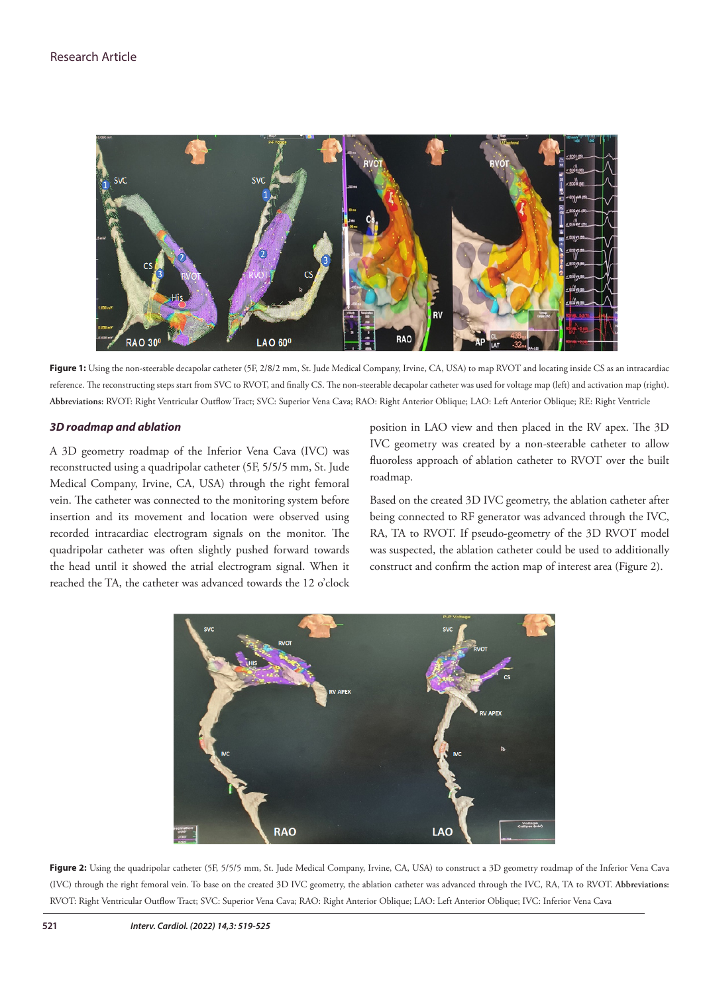

Figure 1: Using the non-steerable decapolar catheter (5F, 2/8/2 mm, St. Jude Medical Company, Irvine, CA, USA) to map RVOT and locating inside CS as an intracardiac reference. The reconstructing steps start from SVC to RVOT, and finally CS. The non-steerable decapolar catheter was used for voltage map (left) and activation map (right). **Abbreviations:** RVOT: Right Ventricular Outflow Tract; SVC: Superior Vena Cava; RAO: Right Anterior Oblique; LAO: Left Anterior Oblique; RE: Right Ventricle

#### *3D roadmap and ablation*

A 3D geometry roadmap of the Inferior Vena Cava (IVC) was reconstructed using a quadripolar catheter (5F, 5/5/5 mm, St. Jude Medical Company, Irvine, CA, USA) through the right femoral vein. The catheter was connected to the monitoring system before insertion and its movement and location were observed using recorded intracardiac electrogram signals on the monitor. The quadripolar catheter was often slightly pushed forward towards the head until it showed the atrial electrogram signal. When it reached the TA, the catheter was advanced towards the 12 o'clock

position in LAO view and then placed in the RV apex. The 3D IVC geometry was created by a non-steerable catheter to allow fluoroless approach of ablation catheter to RVOT over the built roadmap.

Based on the created 3D IVC geometry, the ablation catheter after being connected to RF generator was advanced through the IVC, RA, TA to RVOT. If pseudo-geometry of the 3D RVOT model was suspected, the ablation catheter could be used to additionally construct and confirm the action map of interest area (Figure 2).



Figure 2: Using the quadripolar catheter (5F, 5/5/5 mm, St. Jude Medical Company, Irvine, CA, USA) to construct a 3D geometry roadmap of the Inferior Vena Cava (IVC) through the right femoral vein. To base on the created 3D IVC geometry, the ablation catheter was advanced through the IVC, RA, TA to RVOT. **Abbreviations:**  RVOT: Right Ventricular Outflow Tract; SVC: Superior Vena Cava; RAO: Right Anterior Oblique; LAO: Left Anterior Oblique; IVC: Inferior Vena Cava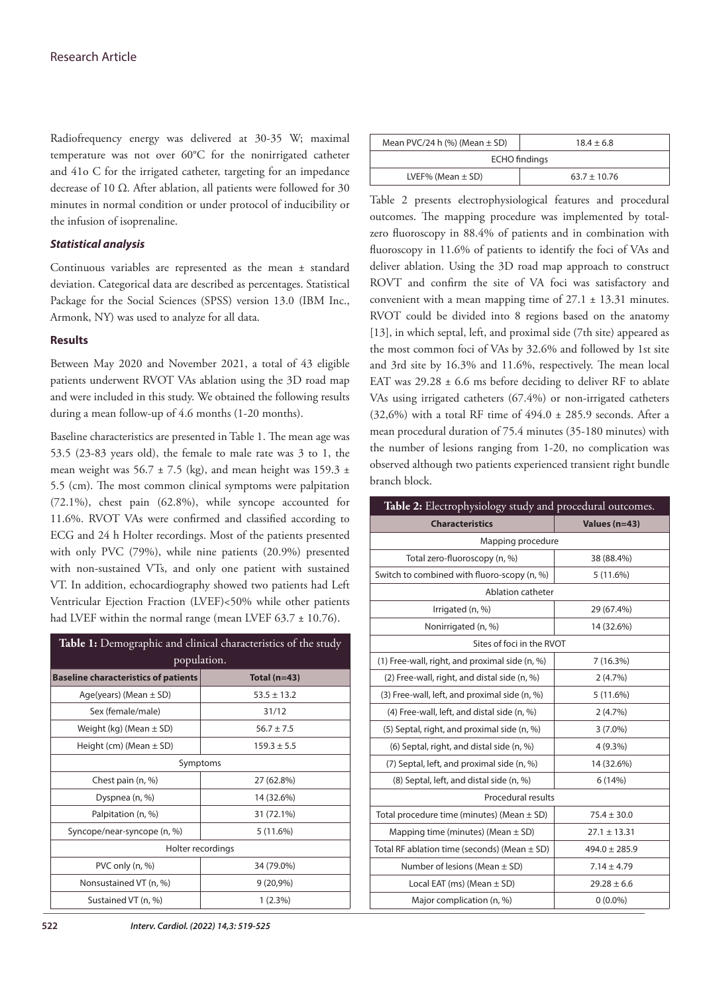Radiofrequency energy was delivered at 30-35 W; maximal temperature was not over 60°C for the nonirrigated catheter and 41o C for the irrigated catheter, targeting for an impedance decrease of 10 Ω. After ablation, all patients were followed for 30 minutes in normal condition or under protocol of inducibility or the infusion of isoprenaline.

## *Statistical analysis*

Continuous variables are represented as the mean ± standard deviation. Categorical data are described as percentages. Statistical Package for the Social Sciences (SPSS) version 13.0 (IBM Inc., Armonk, NY) was used to analyze for all data.

#### **Results**

Between May 2020 and November 2021, a total of 43 eligible patients underwent RVOT VAs ablation using the 3D road map and were included in this study. We obtained the following results during a mean follow-up of 4.6 months (1-20 months).

Baseline characteristics are presented in Table 1. The mean age was 53.5 (23-83 years old), the female to male rate was 3 to 1, the mean weight was  $56.7 \pm 7.5$  (kg), and mean height was 159.3  $\pm$ 5.5 (cm). The most common clinical symptoms were palpitation (72.1%), chest pain (62.8%), while syncope accounted for 11.6%. RVOT VAs were confirmed and classified according to ECG and 24 h Holter recordings. Most of the patients presented with only PVC (79%), while nine patients (20.9%) presented with non-sustained VTs, and only one patient with sustained VT. In addition, echocardiography showed two patients had Left Ventricular Ejection Fraction (LVEF)<50% while other patients had LVEF within the normal range (mean LVEF 63.7 ± 10.76).

| Table 1: Demographic and clinical characteristics of the study |                 |  |
|----------------------------------------------------------------|-----------------|--|
| population.                                                    |                 |  |
| <b>Baseline characteristics of patients</b>                    | Total $(n=43)$  |  |
| Age(years) (Mean $\pm$ SD)                                     | $53.5 \pm 13.2$ |  |
| Sex (female/male)                                              | 31/12           |  |
| Weight (kg) (Mean $\pm$ SD)                                    | $56.7 \pm 7.5$  |  |
| Height (cm) (Mean $\pm$ SD)                                    | $159.3 \pm 5.5$ |  |
| Symptoms                                                       |                 |  |
| Chest pain (n, %)                                              | 27 (62.8%)      |  |
| Dyspnea (n, %)                                                 | 14 (32.6%)      |  |
| Palpitation (n, %)                                             | 31 (72.1%)      |  |
| Syncope/near-syncope (n, %)                                    | 5(11.6%)        |  |
| Holter recordings                                              |                 |  |
| PVC only (n, %)                                                | 34 (79.0%)      |  |
| Nonsustained VT (n, %)                                         | $9(20,9\%)$     |  |
| Sustained VT (n, %)                                            | $1(2.3\%)$      |  |

| Mean PVC/24 h $\left(\% \right)$ (Mean $\pm$ SD) | $18.4 \pm 6.8$   |  |
|--------------------------------------------------|------------------|--|
| <b>ECHO</b> findings                             |                  |  |
| LVEF% (Mean $\pm$ SD)                            | $63.7 \pm 10.76$ |  |

Table 2 presents electrophysiological features and procedural outcomes. The mapping procedure was implemented by totalzero fluoroscopy in 88.4% of patients and in combination with fluoroscopy in 11.6% of patients to identify the foci of VAs and deliver ablation. Using the 3D road map approach to construct ROVT and confirm the site of VA foci was satisfactory and convenient with a mean mapping time of  $27.1 \pm 13.31$  minutes. RVOT could be divided into 8 regions based on the anatomy [13], in which septal, left, and proximal side (7th site) appeared as the most common foci of VAs by 32.6% and followed by 1st site and 3rd site by 16.3% and 11.6%, respectively. The mean local EAT was  $29.28 \pm 6.6$  ms before deciding to deliver RF to ablate VAs using irrigated catheters (67.4%) or non-irrigated catheters (32,6%) with a total RF time of  $494.0 \pm 285.9$  seconds. After a mean procedural duration of 75.4 minutes (35-180 minutes) with the number of lesions ranging from 1-20, no complication was observed although two patients experienced transient right bundle branch block.

| Table 2: Electrophysiology study and procedural outcomes. |                   |  |  |
|-----------------------------------------------------------|-------------------|--|--|
| <b>Characteristics</b>                                    | Values (n=43)     |  |  |
| Mapping procedure                                         |                   |  |  |
| Total zero-fluoroscopy (n, %)                             | 38 (88.4%)        |  |  |
| Switch to combined with fluoro-scopy (n, %)               | 5(11.6%)          |  |  |
| Ablation catheter                                         |                   |  |  |
| Irrigated (n, %)                                          | 29 (67.4%)        |  |  |
| Nonirrigated (n, %)                                       | 14 (32.6%)        |  |  |
| Sites of foci in the RVOT                                 |                   |  |  |
| (1) Free-wall, right, and proximal side (n, %)            | 7 (16.3%)         |  |  |
| (2) Free-wall, right, and distal side (n, %)              | 2(4.7%)           |  |  |
| (3) Free-wall, left, and proximal side (n, %)             | 5(11.6%)          |  |  |
| (4) Free-wall, left, and distal side (n, %)               | 2(4.7%)           |  |  |
| (5) Septal, right, and proximal side (n, %)               | $3(7.0\%)$        |  |  |
| (6) Septal, right, and distal side (n, %)                 | 4 (9.3%)          |  |  |
| (7) Septal, left, and proximal side (n, %)                | 14 (32.6%)        |  |  |
| (8) Septal, left, and distal side (n, %)                  | 6(14%)            |  |  |
| Procedural results                                        |                   |  |  |
| Total procedure time (minutes) (Mean $\pm$ SD)            | $75.4 \pm 30.0$   |  |  |
| Mapping time (minutes) (Mean $\pm$ SD)                    | $27.1 \pm 13.31$  |  |  |
| Total RF ablation time (seconds) (Mean $\pm$ SD)          | $494.0 \pm 285.9$ |  |  |
| Number of lesions (Mean $\pm$ SD)                         | $7.14 \pm 4.79$   |  |  |
| Local EAT (ms) (Mean $\pm$ SD)                            | $29.28 \pm 6.6$   |  |  |
| Major complication (n, %)                                 | $0(0.0\%)$        |  |  |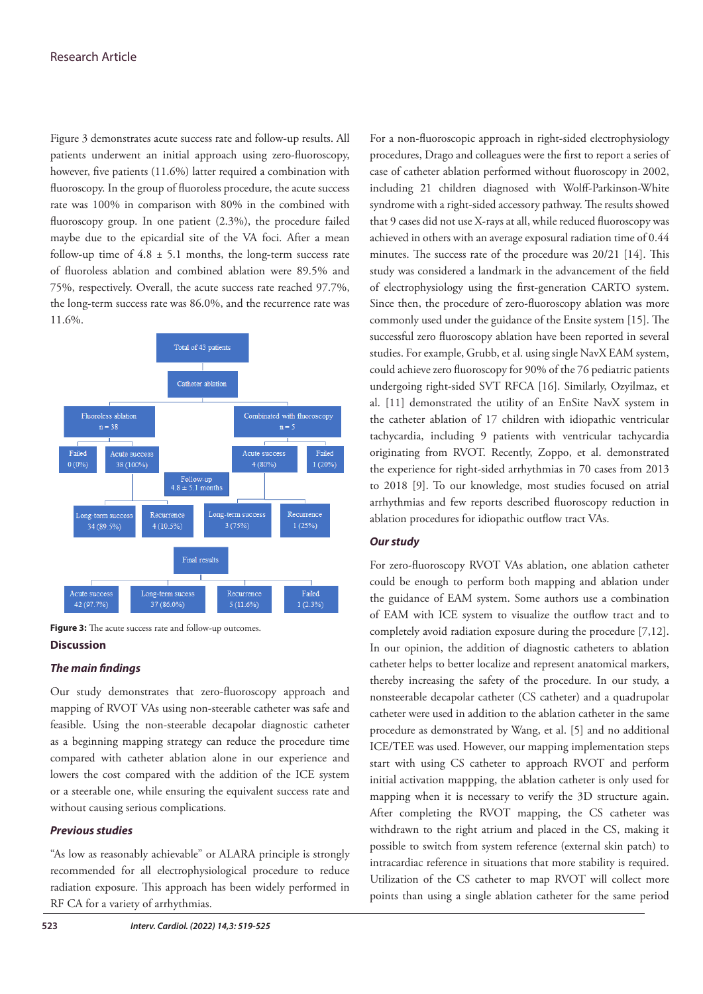## Research Article

Figure 3 demonstrates acute success rate and follow-up results. All patients underwent an initial approach using zero-fluoroscopy, however, five patients (11.6%) latter required a combination with fluoroscopy. In the group of fluoroless procedure, the acute success rate was 100% in comparison with 80% in the combined with fluoroscopy group. In one patient (2.3%), the procedure failed maybe due to the epicardial site of the VA foci. After a mean follow-up time of  $4.8 \pm 5.1$  months, the long-term success rate of fluoroless ablation and combined ablation were 89.5% and 75%, respectively. Overall, the acute success rate reached 97.7%, the long-term success rate was 86.0%, and the recurrence rate was 11.6%.



**Figure 3:** The acute success rate and follow-up outcomes.

## **Discussion**

#### *The main findings*

Our study demonstrates that zero-fluoroscopy approach and mapping of RVOT VAs using non-steerable catheter was safe and feasible. Using the non-steerable decapolar diagnostic catheter as a beginning mapping strategy can reduce the procedure time compared with catheter ablation alone in our experience and lowers the cost compared with the addition of the ICE system or a steerable one, while ensuring the equivalent success rate and without causing serious complications.

## *Previous studies*

"As low as reasonably achievable" or ALARA principle is strongly recommended for all electrophysiological procedure to reduce radiation exposure. This approach has been widely performed in RF CA for a variety of arrhythmias.

For a non-fluoroscopic approach in right-sided electrophysiology procedures, Drago and colleagues were the first to report a series of case of catheter ablation performed without fluoroscopy in 2002, including 21 children diagnosed with Wolff-Parkinson-White syndrome with a right-sided accessory pathway. The results showed that 9 cases did not use X-rays at all, while reduced fluoroscopy was achieved in others with an average exposural radiation time of 0.44 minutes. The success rate of the procedure was 20/21 [14]. This study was considered a landmark in the advancement of the field of electrophysiology using the first-generation CARTO system. Since then, the procedure of zero-fluoroscopy ablation was more commonly used under the guidance of the Ensite system [15]. The successful zero fluoroscopy ablation have been reported in several studies. For example, Grubb, et al. using single NavX EAM system, could achieve zero fluoroscopy for 90% of the 76 pediatric patients undergoing right-sided SVT RFCA [16]. Similarly, Ozyilmaz, et al. [11] demonstrated the utility of an EnSite NavX system in the catheter ablation of 17 children with idiopathic ventricular tachycardia, including 9 patients with ventricular tachycardia originating from RVOT. Recently, Zoppo, et al. demonstrated the experience for right-sided arrhythmias in 70 cases from 2013 to 2018 [9]. To our knowledge, most studies focused on atrial arrhythmias and few reports described fluoroscopy reduction in ablation procedures for idiopathic outflow tract VAs.

# *Our study*

For zero-fluoroscopy RVOT VAs ablation, one ablation catheter could be enough to perform both mapping and ablation under the guidance of EAM system. Some authors use a combination of EAM with ICE system to visualize the outflow tract and to completely avoid radiation exposure during the procedure [7,12]. In our opinion, the addition of diagnostic catheters to ablation catheter helps to better localize and represent anatomical markers, thereby increasing the safety of the procedure. In our study, a nonsteerable decapolar catheter (CS catheter) and a quadrupolar catheter were used in addition to the ablation catheter in the same procedure as demonstrated by Wang, et al. [5] and no additional ICE/TEE was used. However, our mapping implementation steps start with using CS catheter to approach RVOT and perform initial activation mappping, the ablation catheter is only used for mapping when it is necessary to verify the 3D structure again. After completing the RVOT mapping, the CS catheter was withdrawn to the right atrium and placed in the CS, making it possible to switch from system reference (external skin patch) to intracardiac reference in situations that more stability is required. Utilization of the CS catheter to map RVOT will collect more points than using a single ablation catheter for the same period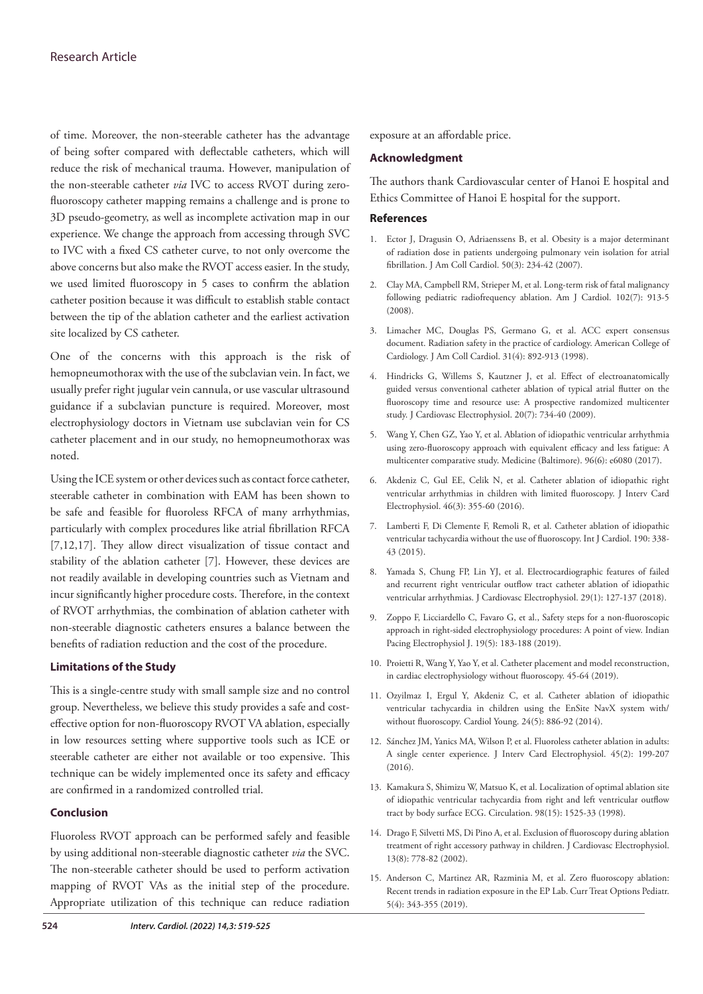of time. Moreover, the non-steerable catheter has the advantage of being softer compared with deflectable catheters, which will reduce the risk of mechanical trauma. However, manipulation of the non-steerable catheter *via* IVC to access RVOT during zerofluoroscopy catheter mapping remains a challenge and is prone to 3D pseudo-geometry, as well as incomplete activation map in our experience. We change the approach from accessing through SVC to IVC with a fixed CS catheter curve, to not only overcome the above concerns but also make the RVOT access easier. In the study, we used limited fluoroscopy in 5 cases to confirm the ablation catheter position because it was difficult to establish stable contact between the tip of the ablation catheter and the earliest activation site localized by CS catheter.

One of the concerns with this approach is the risk of hemopneumothorax with the use of the subclavian vein. In fact, we usually prefer right jugular vein cannula, or use vascular ultrasound guidance if a subclavian puncture is required. Moreover, most electrophysiology doctors in Vietnam use subclavian vein for CS catheter placement and in our study, no hemopneumothorax was noted.

Using the ICE system or other devices such as contact force catheter, steerable catheter in combination with EAM has been shown to be safe and feasible for fluoroless RFCA of many arrhythmias, particularly with complex procedures like atrial fibrillation RFCA [7,12,17]. They allow direct visualization of tissue contact and stability of the ablation catheter [7]. However, these devices are not readily available in developing countries such as Vietnam and incur significantly higher procedure costs. Therefore, in the context of RVOT arrhythmias, the combination of ablation catheter with non-steerable diagnostic catheters ensures a balance between the benefits of radiation reduction and the cost of the procedure.

# **Limitations of the Study**

This is a single-centre study with small sample size and no control group. Nevertheless, we believe this study provides a safe and costeffective option for non-fluoroscopy RVOT VA ablation, especially in low resources setting where supportive tools such as ICE or steerable catheter are either not available or too expensive. This technique can be widely implemented once its safety and efficacy are confirmed in a randomized controlled trial.

# **Conclusion**

Fluoroless RVOT approach can be performed safely and feasible by using additional non-steerable diagnostic catheter *via* the SVC. The non-steerable catheter should be used to perform activation mapping of RVOT VAs as the initial step of the procedure. Appropriate utilization of this technique can reduce radiation exposure at an affordable price.

# **Acknowledgment**

The authors thank Cardiovascular center of Hanoi E hospital and Ethics Committee of Hanoi E hospital for the support.

## **References**

- 1. Ector J, Dragusin O, Adriaenssens B, et al. [Obesity is a major determinant](https://www.sciencedirect.com/science/article/pii/S0735109707014064?via%3Dihub)  [of radiation dose in patients undergoing pulmonary vein isolation for atrial](https://www.sciencedirect.com/science/article/pii/S0735109707014064?via%3Dihub)  [fibrillation.](https://www.sciencedirect.com/science/article/pii/S0735109707014064?via%3Dihub) J Am Coll Cardiol. 50(3): 234-42 (2007).
- 2. Clay MA, Campbell RM, Strieper M, et al. [Long-term risk of fatal malignancy](https://www.ajconline.org/article/S0002-9149(08)00936-3/fulltext)  [following pediatric radiofrequency ablation.](https://www.ajconline.org/article/S0002-9149(08)00936-3/fulltext) Am J Cardiol. 102(7): 913-5 (2008).
- 3. Limacher MC, Douglas PS, Germano G, et al. [ACC expert consensus](https://www.sciencedirect.com/science/article/pii/S0735109798000473?via%3Dihub)  [document. Radiation safety in the practice of cardiology. American College of](https://www.sciencedirect.com/science/article/pii/S0735109798000473?via%3Dihub)  [Cardiology.](https://www.sciencedirect.com/science/article/pii/S0735109798000473?via%3Dihub) J Am Coll Cardiol. 31(4): 892-913 (1998).
- 4. Hindricks G, Willems S, Kautzner J, et al. [Effect of electroanatomically](https://onlinelibrary.wiley.com/doi/10.1111/j.1540-8167.2009.01439.x)  [guided versus conventional catheter ablation of typical atrial flutter on the](https://onlinelibrary.wiley.com/doi/10.1111/j.1540-8167.2009.01439.x)  [fluoroscopy time and resource use: A prospective randomized multicenter](https://onlinelibrary.wiley.com/doi/10.1111/j.1540-8167.2009.01439.x)  [study.](https://onlinelibrary.wiley.com/doi/10.1111/j.1540-8167.2009.01439.x) J Cardiovasc Electrophysiol. 20(7): 734-40 (2009).
- 5. Wang Y, Chen GZ, Yao Y, et al. [Ablation of idiopathic ventricular arrhythmia](https://journals.lww.com/md-journal/Fulltext/2017/02100/Ablation_of_idiopathic_ventricular_arrhythmia.46.aspx)  [using zero-fluoroscopy approach with equivalent efficacy and less fatigue: A](https://journals.lww.com/md-journal/Fulltext/2017/02100/Ablation_of_idiopathic_ventricular_arrhythmia.46.aspx)  [multicenter comparative study.](https://journals.lww.com/md-journal/Fulltext/2017/02100/Ablation_of_idiopathic_ventricular_arrhythmia.46.aspx) Medicine (Baltimore). 96(6): e6080 (2017).
- 6. Akdeniz C, Gul EE, Celik N, et al. [Catheter ablation of idiopathic right](https://link.springer.com/article/10.1007/s10840-016-0133-6)  [ventricular arrhythmias in children with limited fluoroscopy. J](https://link.springer.com/article/10.1007/s10840-016-0133-6) Interv Card Electrophysiol. 46(3): 355-60 (2016).
- 7. Lamberti F, Di Clemente F, Remoli R, et al. [Catheter ablation of idiopathic](https://www.sciencedirect.com/science/article/abs/pii/S0167527315008694?via%3Dihub)  [ventricular tachycardia without the use of fluoroscopy.](https://www.sciencedirect.com/science/article/abs/pii/S0167527315008694?via%3Dihub) Int J Cardiol. 190: 338- 43 (2015).
- 8. Yamada S, Chung FP, Lin YJ, et al. [Electrocardiographic features of failed](https://onlinelibrary.wiley.com/doi/10.1111/jce.13359)  [and recurrent right ventricular outflow tract catheter ablation of idiopathic](https://onlinelibrary.wiley.com/doi/10.1111/jce.13359)  [ventricular arrhythmias.](https://onlinelibrary.wiley.com/doi/10.1111/jce.13359) J Cardiovasc Electrophysiol. 29(1): 127-137 (2018).
- 9. Zoppo F, Licciardello C, Favaro G, et al., [Safety steps for a non-fluoroscopic](https://www.sciencedirect.com/science/article/pii/S0972629219300105?via%3Dihub)  [approach in right-sided electrophysiology procedures: A point of view.](https://www.sciencedirect.com/science/article/pii/S0972629219300105?via%3Dihub) Indian Pacing Electrophysiol J. 19(5): 183-188 (2019).
- 10. Proietti R, Wang Y, Yao Y, et al. Catheter placement and model reconstruction, in cardiac electrophysiology without fluoroscopy. 45-64 (2019).
- 11. Ozyilmaz I, Ergul Y, Akdeniz C, et al. [Catheter ablation of idiopathic](https://www.cambridge.org/core/journals/cardiology-in-the-young/article/abs/catheter-ablation-of-idiopathic-ventricular-tachycardia-in-children-using-the-ensite-navx-system-withwithout-fluoroscopy/495EDEDFBC78D98585FF5ABB941F3522)  [ventricular tachycardia in children using the EnSite NavX system with/](https://www.cambridge.org/core/journals/cardiology-in-the-young/article/abs/catheter-ablation-of-idiopathic-ventricular-tachycardia-in-children-using-the-ensite-navx-system-withwithout-fluoroscopy/495EDEDFBC78D98585FF5ABB941F3522) [without fluoroscopy.](https://www.cambridge.org/core/journals/cardiology-in-the-young/article/abs/catheter-ablation-of-idiopathic-ventricular-tachycardia-in-children-using-the-ensite-navx-system-withwithout-fluoroscopy/495EDEDFBC78D98585FF5ABB941F3522) Cardiol Young. 24(5): 886-92 (2014).
- 12. Sánchez JM, Yanics MA, Wilson P, et al. [Fluoroless catheter ablation in adults:](https://link.springer.com/article/10.1007/s10840-015-0088-z)  [A single center experience.](https://link.springer.com/article/10.1007/s10840-015-0088-z) J Interv Card Electrophysiol. 45(2): 199-207  $(2016)$ .
- 13. Kamakura S, Shimizu W, Matsuo K, et al. [Localization of optimal ablation site](https://www.ahajournals.org/doi/10.1161/01.CIR.98.15.1525)  [of idiopathic ventricular tachycardia from right and left ventricular outflow](https://www.ahajournals.org/doi/10.1161/01.CIR.98.15.1525)  [tract by body surface ECG.](https://www.ahajournals.org/doi/10.1161/01.CIR.98.15.1525) Circulation. 98(15): 1525-33 (1998).
- 14. Drago F, Silvetti MS, Di Pino A, et al. [Exclusion of fluoroscopy during ablation](https://onlinelibrary.wiley.com/doi/abs/10.1046/j.1540-8167.2002.00778.x)  [treatment of right accessory pathway in children.](https://onlinelibrary.wiley.com/doi/abs/10.1046/j.1540-8167.2002.00778.x) J Cardiovasc Electrophysiol. 13(8): 778-82 (2002).
- 15. Anderson C, Martinez AR, Razminia M, et al. [Zero fluoroscopy ablation:](https://link.springer.com/article/10.1007/s40746-019-00170-7)  [Recent trends in radiation exposure in the EP Lab](https://link.springer.com/article/10.1007/s40746-019-00170-7). Curr Treat Options Pediatr. 5(4): 343-355 (2019).